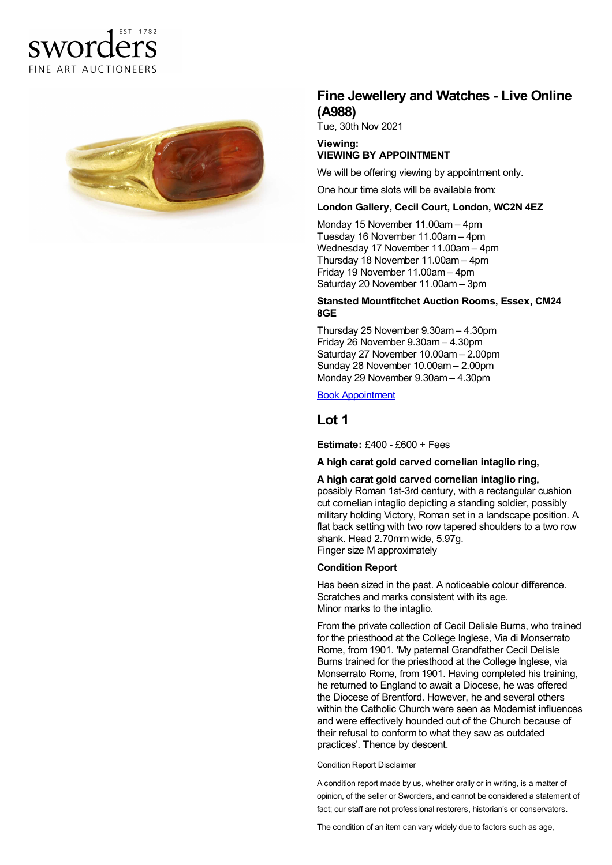# FST 1782 sworders FINE ART AUCTIONEERS



## **Fine Jewellery and Watches - Live Online (A988)**

Tue, 30th Nov 2021

### **Viewing: VIEWING BY APPOINTMENT**

We will be offering viewing by appointment only.

One hour time slots will be available from:

### **London Gallery, Cecil Court, London, WC2N 4EZ**

Monday 15 November 11.00am – 4pm Tuesday 16 November 11.00am – 4pm Wednesday 17 November 11.00am – 4pm Thursday 18 November 11.00am – 4pm Friday 19 November 11.00am – 4pm Saturday 20 November 11.00am – 3pm

### **Stansted Mountfitchet Auction Rooms, Essex, CM24 8GE**

Thursday 25 November 9.30am – 4.30pm Friday 26 November 9.30am – 4.30pm Saturday 27 November 10.00am – 2.00pm Sunday 28 November 10.00am – 2.00pm Monday 29 November 9.30am – 4.30pm

Book [Appointment](/appointments)

## **Lot 1**

**Estimate:** £400 - £600 + Fees

### **A high carat gold carved cornelian intaglio ring,**

### **A high carat gold carved cornelian intaglio ring,**

possibly Roman 1st-3rd century, with a rectangular cushion cut cornelian intaglio depicting a standing soldier, possibly military holding Victory, Roman set in a landscape position. A flat back setting with two row tapered shoulders to a two row shank. Head 2.70mm wide, 5.97g. Finger size M approximately

### **Condition Report**

Has been sized in the past. A noticeable colour difference. Scratches and marks consistent with its age. Minor marks to the intaglio.

From the private collection of Cecil Delisle Burns, who trained for the priesthood at the College Inglese, Via di Monserrato Rome, from 1901. 'My paternal Grandfather Cecil Delisle Burns trained for the priesthood at the College Inglese, via Monserrato Rome, from 1901. Having completed his training, he returned to England to await a Diocese, he was offered the Diocese of Brentford. However, he and several others within the Catholic Church were seen as Modernist influences and were effectively hounded out of the Church because of their refusal to conform to what they saw as outdated practices'. Thence by descent.

#### Condition Report Disclaimer

A condition report made by us, whether orally or in writing, is a matter of opinion, of the seller or Sworders, and cannot be considered a statement of fact; our staff are not professional restorers, historian's or conservators.

The condition of an item can vary widely due to factors such as age,